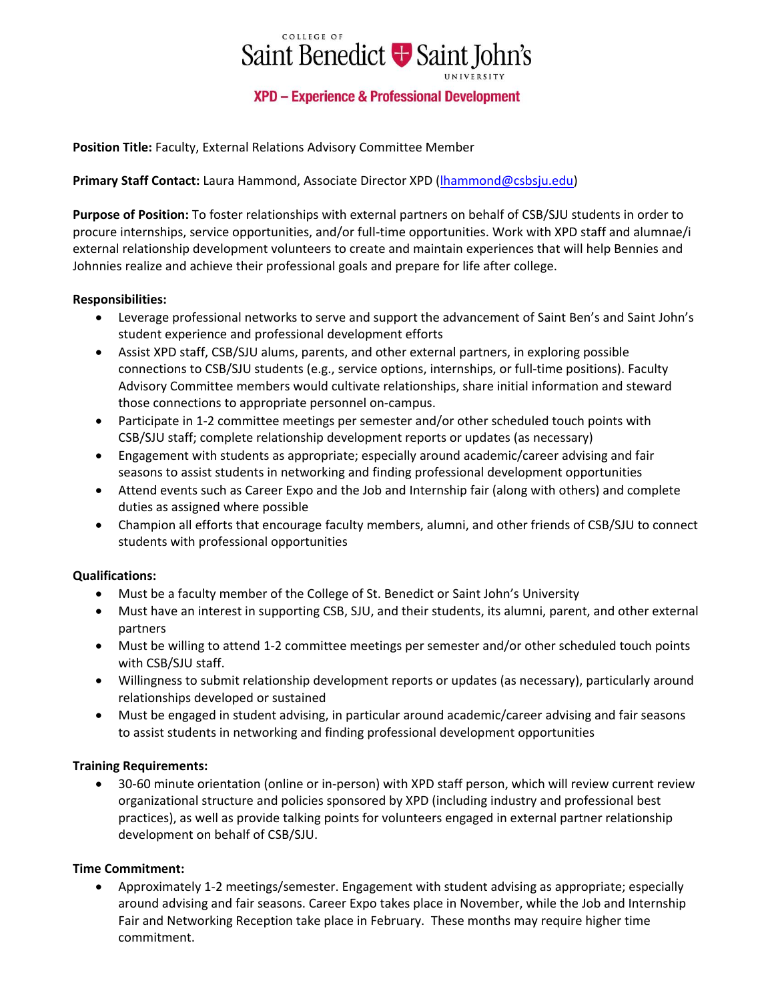

**Position Title:** Faculty, External Relations Advisory Committee Member

## **Primary Staff Contact:** Laura Hammond, Associate Director XPD [\(lhammond@csbsju.edu\)](mailto:lhammond@csbsju.edu)

**Purpose of Position:** To foster relationships with external partners on behalf of CSB/SJU students in order to procure internships, service opportunities, and/or full-time opportunities. Work with XPD staff and alumnae/i external relationship development volunteers to create and maintain experiences that will help Bennies and Johnnies realize and achieve their professional goals and prepare for life after college.

### **Responsibilities:**

- Leverage professional networks to serve and support the advancement of Saint Ben's and Saint John's student experience and professional development efforts
- Assist XPD staff, CSB/SJU alums, parents, and other external partners, in exploring possible connections to CSB/SJU students (e.g., service options, internships, or full-time positions). Faculty Advisory Committee members would cultivate relationships, share initial information and steward those connections to appropriate personnel on-campus.
- Participate in 1-2 committee meetings per semester and/or other scheduled touch points with CSB/SJU staff; complete relationship development reports or updates (as necessary)
- Engagement with students as appropriate; especially around academic/career advising and fair seasons to assist students in networking and finding professional development opportunities
- Attend events such as Career Expo and the Job and Internship fair (along with others) and complete duties as assigned where possible
- Champion all efforts that encourage faculty members, alumni, and other friends of CSB/SJU to connect students with professional opportunities

# **Qualifications:**

- Must be a faculty member of the College of St. Benedict or Saint John's University
- Must have an interest in supporting CSB, SJU, and their students, its alumni, parent, and other external partners
- Must be willing to attend 1-2 committee meetings per semester and/or other scheduled touch points with CSB/SJU staff.
- Willingness to submit relationship development reports or updates (as necessary), particularly around relationships developed or sustained
- Must be engaged in student advising, in particular around academic/career advising and fair seasons to assist students in networking and finding professional development opportunities

### **Training Requirements:**

• 30-60 minute orientation (online or in-person) with XPD staff person, which will review current review organizational structure and policies sponsored by XPD (including industry and professional best practices), as well as provide talking points for volunteers engaged in external partner relationship development on behalf of CSB/SJU.

# **Time Commitment:**

• Approximately 1-2 meetings/semester. Engagement with student advising as appropriate; especially around advising and fair seasons. Career Expo takes place in November, while the Job and Internship Fair and Networking Reception take place in February. These months may require higher time commitment.